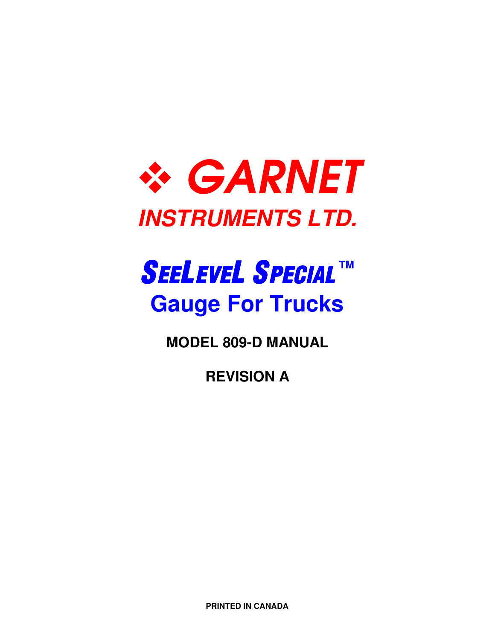

# SEELEVEL SPECIAL **TM Gauge For Trucks**

**MODEL 809-D MANUAL** 

**REVISION A** 

**PRINTED IN CANADA**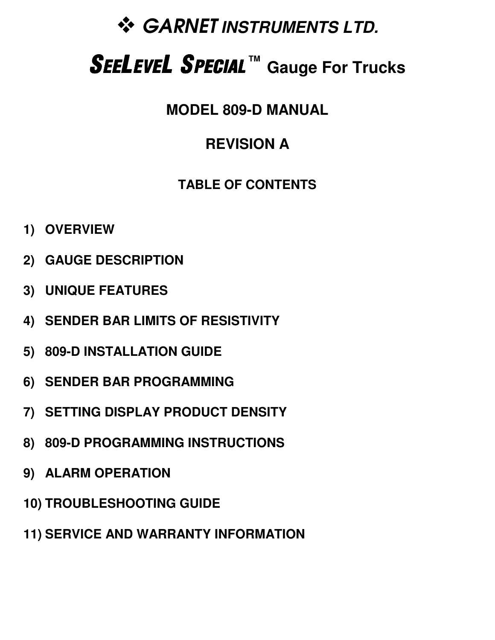# **SARNET INSTRUMENTS LTD.**

# SEELEVEL SPECIAL **TM Gauge For Trucks**

**MODEL 809-D MANUAL** 

## **REVISION A**

### **TABLE OF CONTENTS**

- **1) OVERVIEW**
- **2) GAUGE DESCRIPTION**
- **3) UNIQUE FEATURES**
- **4) SENDER BAR LIMITS OF RESISTIVITY**
- **5) 809-D INSTALLATION GUIDE**
- **6) SENDER BAR PROGRAMMING**
- **7) SETTING DISPLAY PRODUCT DENSITY**
- **8) 809-D PROGRAMMING INSTRUCTIONS**
- **9) ALARM OPERATION**
- **10) TROUBLESHOOTING GUIDE**
- **11) SERVICE AND WARRANTY INFORMATION**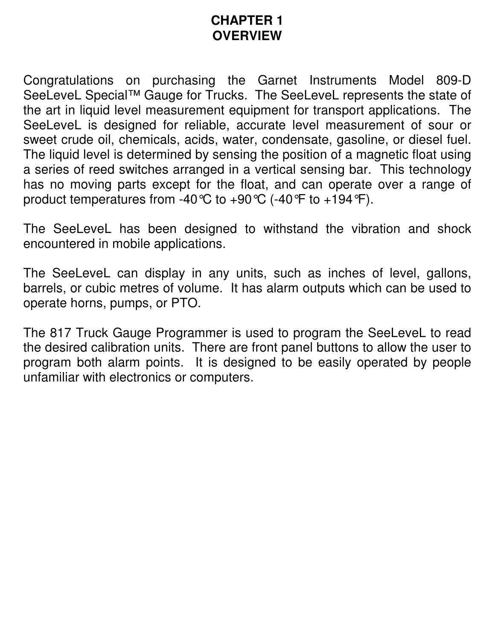#### **CHAPTER 1 OVERVIEW**

Congratulations on purchasing the Garnet Instruments Model 809-D SeeLeveL Special™ Gauge for Trucks. The SeeLeveL represents the state of the art in liquid level measurement equipment for transport applications. The SeeLeveL is designed for reliable, accurate level measurement of sour or sweet crude oil, chemicals, acids, water, condensate, gasoline, or diesel fuel. The liquid level is determined by sensing the position of a magnetic float using a series of reed switches arranged in a vertical sensing bar. This technology has no moving parts except for the float, and can operate over a range of product temperatures from -40 °C to +90 °C (-40 °F to +194 °F).

The SeeLeveL has been designed to withstand the vibration and shock encountered in mobile applications.

The SeeLeveL can display in any units, such as inches of level, gallons, barrels, or cubic metres of volume. It has alarm outputs which can be used to operate horns, pumps, or PTO.

The 817 Truck Gauge Programmer is used to program the SeeLeveL to read the desired calibration units. There are front panel buttons to allow the user to program both alarm points. It is designed to be easily operated by people unfamiliar with electronics or computers.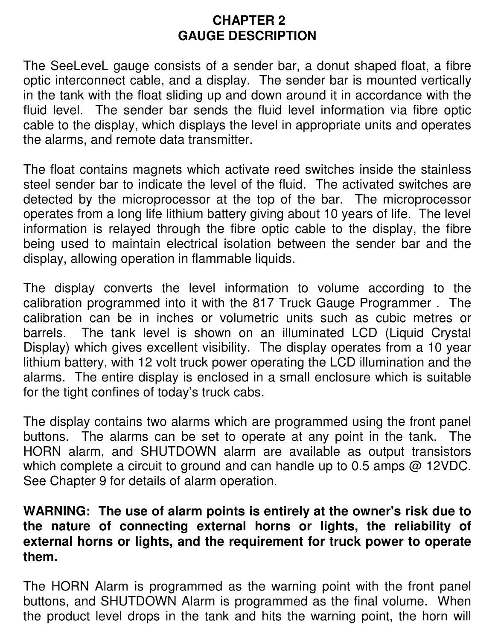#### **CHAPTER 2 GAUGE DESCRIPTION**

The SeeLeveL gauge consists of a sender bar, a donut shaped float, a fibre optic interconnect cable, and a display. The sender bar is mounted vertically in the tank with the float sliding up and down around it in accordance with the fluid level. The sender bar sends the fluid level information via fibre optic cable to the display, which displays the level in appropriate units and operates the alarms, and remote data transmitter.

The float contains magnets which activate reed switches inside the stainless steel sender bar to indicate the level of the fluid. The activated switches are detected by the microprocessor at the top of the bar. The microprocessor operates from a long life lithium battery giving about 10 years of life. The level information is relayed through the fibre optic cable to the display, the fibre being used to maintain electrical isolation between the sender bar and the display, allowing operation in flammable liquids.

The display converts the level information to volume according to the calibration programmed into it with the 817 Truck Gauge Programmer . The calibration can be in inches or volumetric units such as cubic metres or barrels. The tank level is shown on an illuminated LCD (Liquid Crystal Display) which gives excellent visibility. The display operates from a 10 year lithium battery, with 12 volt truck power operating the LCD illumination and the alarms. The entire display is enclosed in a small enclosure which is suitable for the tight confines of today's truck cabs.

The display contains two alarms which are programmed using the front panel buttons. The alarms can be set to operate at any point in the tank. The HORN alarm, and SHUTDOWN alarm are available as output transistors which complete a circuit to ground and can handle up to 0.5 amps @ 12VDC. See Chapter 9 for details of alarm operation.

#### **WARNING: The use of alarm points is entirely at the owner's risk due to the nature of connecting external horns or lights, the reliability of external horns or lights, and the requirement for truck power to operate them.**

The HORN Alarm is programmed as the warning point with the front panel buttons, and SHUTDOWN Alarm is programmed as the final volume. When the product level drops in the tank and hits the warning point, the horn will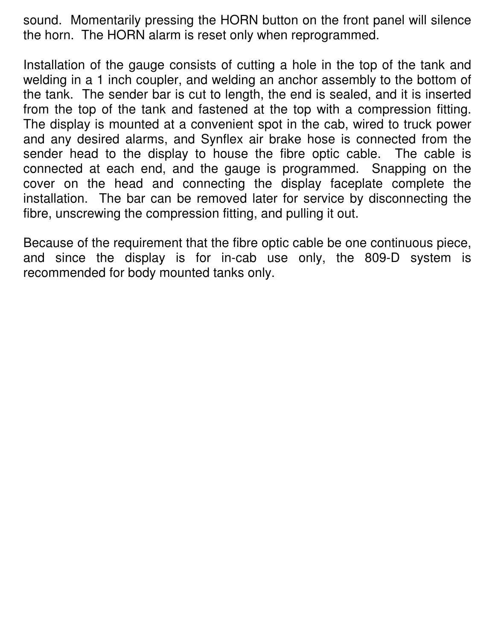sound. Momentarily pressing the HORN button on the front panel will silence the horn. The HORN alarm is reset only when reprogrammed.

Installation of the gauge consists of cutting a hole in the top of the tank and welding in a 1 inch coupler, and welding an anchor assembly to the bottom of the tank. The sender bar is cut to length, the end is sealed, and it is inserted from the top of the tank and fastened at the top with a compression fitting. The display is mounted at a convenient spot in the cab, wired to truck power and any desired alarms, and Synflex air brake hose is connected from the sender head to the display to house the fibre optic cable. The cable is connected at each end, and the gauge is programmed. Snapping on the cover on the head and connecting the display faceplate complete the installation. The bar can be removed later for service by disconnecting the fibre, unscrewing the compression fitting, and pulling it out.

Because of the requirement that the fibre optic cable be one continuous piece, and since the display is for in-cab use only, the 809-D system is recommended for body mounted tanks only.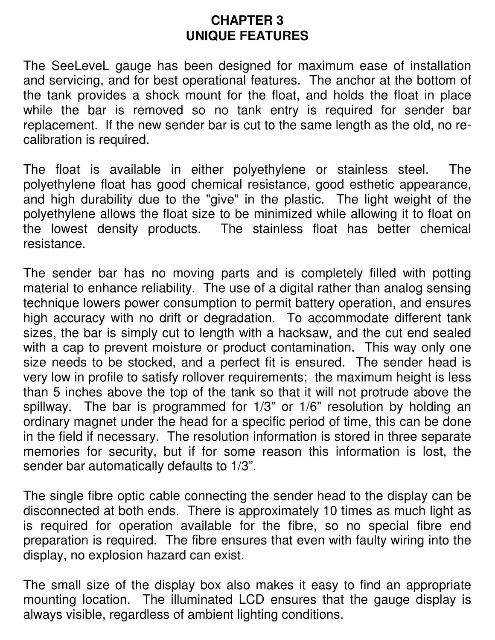#### **CHAPTER 3 UNIQUE FEATURES**

The SeeLeveL gauge has been designed for maximum ease of installation and servicing, and for best operational features. The anchor at the bottom of the tank provides a shock mount for the float, and holds the float in place while the bar is removed so no tank entry is required for sender bar replacement. If the new sender bar is cut to the same length as the old, no recalibration is required.

The float is available in either polyethylene or stainless steel. The polyethylene float has good chemical resistance, good esthetic appearance, and high durability due to the "give" in the plastic. The light weight of the polyethylene allows the float size to be minimized while allowing it to float on the lowest density products. The stainless float has better chemical resistance.

The sender bar has no moving parts and is completely filled with potting material to enhance reliability. The use of a digital rather than analog sensing technique lowers power consumption to permit battery operation, and ensures high accuracy with no drift or degradation. To accommodate different tank sizes, the bar is simply cut to length with a hacksaw, and the cut end sealed with a cap to prevent moisture or product contamination. This way only one size needs to be stocked, and a perfect fit is ensured. The sender head is very low in profile to satisfy rollover requirements; the maximum height is less than 5 inches above the top of the tank so that it will not protrude above the spillway. The bar is programmed for 1/3" or 1/6" resolution by holding an ordinary magnet under the head for a specific period of time, this can be done in the field if necessary. The resolution information is stored in three separate memories for security, but if for some reason this information is lost, the sender bar automatically defaults to 1/3".

The single fibre optic cable connecting the sender head to the display can be disconnected at both ends. There is approximately 10 times as much light as is required for operation available for the fibre, so no special fibre end preparation is required. The fibre ensures that even with faulty wiring into the display, no explosion hazard can exist.

The small size of the display box also makes it easy to find an appropriate mounting location. The illuminated LCD ensures that the gauge display is always visible, regardless of ambient lighting conditions.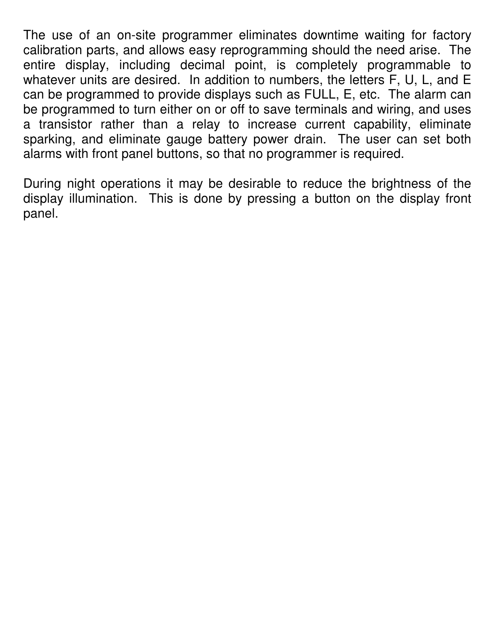The use of an on-site programmer eliminates downtime waiting for factory calibration parts, and allows easy reprogramming should the need arise. The entire display, including decimal point, is completely programmable to whatever units are desired. In addition to numbers, the letters F, U, L, and E can be programmed to provide displays such as FULL, E, etc. The alarm can be programmed to turn either on or off to save terminals and wiring, and uses a transistor rather than a relay to increase current capability, eliminate sparking, and eliminate gauge battery power drain. The user can set both alarms with front panel buttons, so that no programmer is required.

During night operations it may be desirable to reduce the brightness of the display illumination. This is done by pressing a button on the display front panel.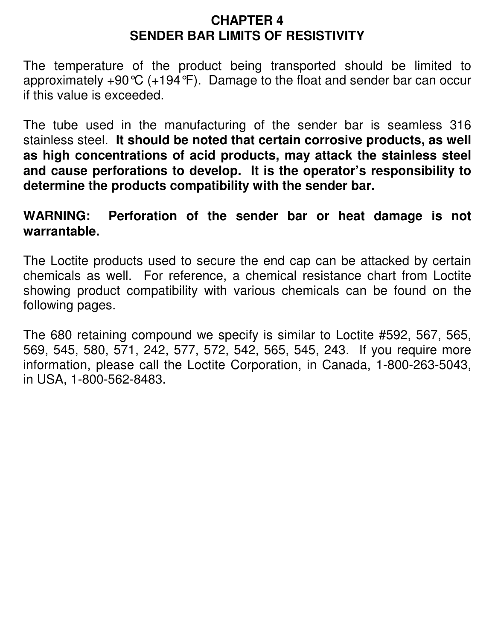#### **CHAPTER 4 SENDER BAR LIMITS OF RESISTIVITY**

The temperature of the product being transported should be limited to approximately  $+90^{\circ}C$  (+194 $^{\circ}F$ ). Damage to the float and sender bar can occur if this value is exceeded.

The tube used in the manufacturing of the sender bar is seamless 316 stainless steel. **It should be noted that certain corrosive products, as well as high concentrations of acid products, may attack the stainless steel and cause perforations to develop. It is the operator's responsibility to determine the products compatibility with the sender bar.**

#### **WARNING: Perforation of the sender bar or heat damage is not warrantable.**

The Loctite products used to secure the end cap can be attacked by certain chemicals as well. For reference, a chemical resistance chart from Loctite showing product compatibility with various chemicals can be found on the following pages.

The 680 retaining compound we specify is similar to Loctite #592, 567, 565, 569, 545, 580, 571, 242, 577, 572, 542, 565, 545, 243. If you require more information, please call the Loctite Corporation, in Canada, 1-800-263-5043, in USA, 1-800-562-8483.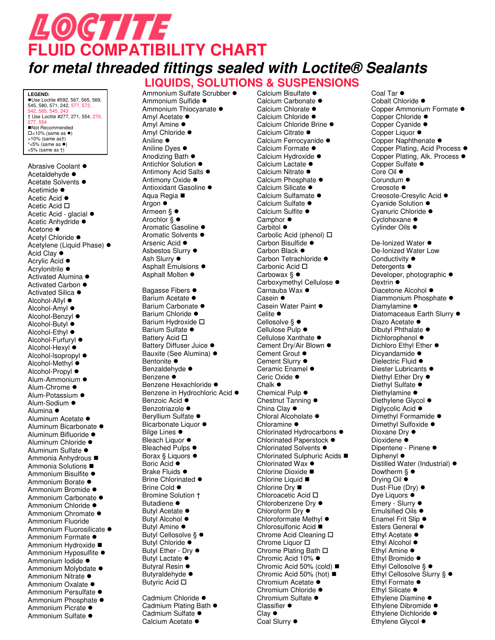# LOCTITE **FLUID COMPATIBILITY CHART for metal threaded fittings sealed with Loctite® Sealants**

**LIQUIDS, SOLUTIONS & SUSPENSIONS**

**LEGEND:**  ●Use Loctite #592, 567, 565, 569,<br>545, 580, 571, 242, 577, 572, 542, 565, 545, 243 † Use Loctite #277, 271, 554, 270, 277, 554 Not Recommended  $\square$ <10% (same as  $\bullet$ )<br>>10% (same as†) \*<5% (same as  $\bullet$ )<br><5% (same as †)

Abrasive Coolant  $\bullet$ Acetaldehyde  $\bullet$ Acetate Solvents  $\bullet$ Acetimide  $\bullet$ Acetic Acid ● Acetic Acid □ Acetic Acid - glacial  $\bullet$ Acetic Anhydride · Acetone  $\bullet$ Ĩ. Acetvl Chloride · Acetylene (Liquid Phase) ● Acid Clay  $\bullet$ - 1 Acrylic Acid  $\bullet$ Acrylonitrile  $\bullet$ Activated Alumina  $\bullet$ Activated Carbon  $\bullet$ Activated Silica ● Alcohol-Allyl ● Alcohol-Amyl ● Alcohol-Benzyl ● Alcohol-Butyl ● Alcohol-Ethyl ● Alcohol-Furfuryl  $\bullet$ Alcohol-Hexyl  $\bullet$ Alcohol-Isopropyl  $\bullet$ Alcohol-Methyl  $\bullet$ Alcohol-Propyl ● Alum-Ammonium  $\bullet$ Alum-Chrome  $\bullet$ Alum-Potassium  $\bullet$ Alum-Sodium  $\bullet$ Alumina  $\bullet$ Aluminum Acetate  $\bullet$ Aluminum Bicarbonate  $\bullet$ Aluminum Bifluoride · Aluminum Chloride · Aluminum Sulfate  $\bullet$ Ammonia Anhydrous Ammonia Solutions ■ Ammonium Bisulfite  $\bullet$ Ammonium Borate  $\bullet$ Ammonium Bromide · Ammonium Carbonate  $\bullet$ Ammonium Chloride · Ammonium Chromate  $\bullet$ Ammonium Fluoride Ammonium Fluorosilicate · Ammonium Formate  $\bullet$ Ammonium Hydroxide Ammonium Hyposulfite  $\bullet$ Ammonium Iodide · Ammonium Molybdate  $\bullet$ Ammonium Nitrate  $\bullet$ Ammonium Oxalate · Ammonium Persulfate · Ammonium Phosphate  $\bullet$ Ammonium Picrate  $\bullet$ Ammonium Sulfate ·

Ammonium Sulfate Scrubber  $\bullet$ Ammonium Sulfide · Ammonium Thiocvanate  $\bullet$ Amyl Acetate  $\bullet$  $\mathcal{L}$ Amyl Amine  $\bullet$ Amyl Chloride ● Aniline  $\bullet$ Aniline Dves  $\bullet$ Anodizing Bath  $\bullet$ Antichlor Solution  $\bullet$ Antimony Acid Salts  $\bullet$ Antimony Oxide  $\bullet$ Antioxidant Gasoline · Aqua Regia Argon  $\bullet$ Ĩ. Armeen § ● Arochlor  $\hat{\S}$   $\bullet$ Aromatic Gasoline  $\bullet$ Aromatic Solvents  $\bullet$ Arsenic Acid  $\bullet$ Asbestos Slurry  $\bullet$ Ash Slurry  $\bullet$ Asphalt Emulsions  $\bullet$ Asphalt Molten  $\bullet$ Bagasse Fibers  $\bullet$ Barium Acetate  $\bullet$ Barium Carbonate · Barium Chloride · Barium Hydroxide  $\square$ Barium Sulfate  $\bullet$ **Battery Acid** □ Battery Diffuser Juice  $\bullet$ Bauxite (See Alumina) · Bentonite  $\bullet$ Benzaldehyde · Benzene  $\bullet$ Benzene Hexachloride · Benzene in Hydrochloric Acid  $\bullet$ Benzoic Acid  $\bullet$ Benzotriazole · Bervllium Sulfate  $\bullet$ Bicarbonate Liquor  $\bullet$ Bilge Lines  $\bullet$ Т, Bleach Liquor  $\bullet$ Bleached Pulps  $\bullet$ Borax  $§$  Liquors  $\bullet$ Boric Acid  $\bullet$ Brake Fluids  $\bullet$ Brine Chlorinated  $\bullet$ Brine Cold  $\bullet$ Bromine Solution † Butadiene · Butyl Acetate  $\bullet$ Butyl Alcohol  $\bullet$ Butyl Amine  $\bullet$ Butyl Cellosolve § ● Butyl Chloride  $\bullet$ T. Butyl Ether - Dry  $\bullet$ 

Butyl Lactate  $\bullet$ t, Butyral Resin  $\bullet$ Butyraldehyde  $\bullet$ Butyric Acid □

Cadmium Chloride · Cadmium Plating Bath  $\bullet$ Cadmium Sulfate  $\bullet$ Calcium Acetate ·

Calcium Bisulfate  $\bullet$ Calcium Carbonate · Calcium Chlorate  $\bullet$ Calcium Chloride · Calcium Chloride Brine · Calcium Citrate  $\bullet$ Calcium Ferrocyanide · Calcium Formate  $\bullet$ Calcium Hydroxide · Calcium Lactate  $\bullet$ Calcium Nitrate  $\bullet$ Calcium Phosphate  $\bullet$ Calcium Silicate · Calcium Sulfamate · Calcium Sulfate  $\bullet$ Calcium Sulfite  $\bullet$ Camphor  $\bullet$ Carbitol  $\bullet$ Carbolic Acid (phenol) □ Carbon Bisulfide · Carbon Black  $\bullet$ Carbon Tetrachloride · Carbonic Acid □ Carbowax  $\S$   $\bullet$ Carboxymethyl Cellulose · Carnauba Wax  $\bullet$ Casein  $\bullet$ Casein Water Paint  $\bullet$ Celite  $\bullet$ Cellosolve  $\S$   $\bullet$ Cellulose Pulp  $\bullet$ Cellulose Xanthate ● Cement Dry/Air Blown  $\bullet$ Cement Grout  $\bullet$ Cement Slurry  $\bullet$ Ceramic Enamel  $\bullet$ Ceric Oxide  $\bullet$  $Chalk$   $\bullet$ Chemical Pulp  $\bullet$ Chestnut Tanning  $\bullet$ China Clay  $\bullet$ Chloral Alcoholate  $\bullet$ Chloramine  $\bullet$ Chlorinated Hydrocarbons  $\bullet$ Chlorinated Paperstock  $\bullet$ Chlorinated Solvents  $\bullet$ Chlorinated Sulphuric Acids ■ Chlorinated Wax  $\bullet$ Chlorine Dioxide ■ Chlorine Liquid ■ Chlorine Dry ■ Chloroacetic Acid  $\square$ Chlorobenzene Dry  $\bullet$ Chloroform Dry  $\bullet$ ÷, Chloroformate Methyl  $\bullet$ Chlorosulfonic Acid ■ Chrome Acid Cleaning  $\square$ Chrome Liquor  $\square$ Chrome Plating Bath  $\square$ Chromic Acid 10% ● Chromic Acid 50% (cold) Chromic Acid 50% (hot) Chromium Acetate  $\bullet$ r i Chromium Chloride · Chromium Sulfate  $\bullet$ Classifier  $\bullet$  $Clav$   $\bullet$ Coal Slurry  $\bullet$ 

Coal Tar  $\bullet$ Cobalt Chloride · Copper Ammonium Formate  $\bullet$ Copper Chloride  $\bullet$ Copper Cyanide · Copper Liquor ● Copper Naphthenate  $\bullet$ Copper Plating, Acid Process · Copper Plating, Alk. Process  $\bullet$ Copper Sulfate  $\bullet$ Core Oil  $\bullet$ Corundum  $\bullet$ Creosote  $\bullet$ Creosote-Cresylic Acid · Cyanide Solution  $\bullet$ Cyanuric Chloride  $\bullet$ Cyclohexane  $\bullet$ Cylinder Oils  $\bullet$ De-Ionized Water ● De-Ionized Water Low Conductivity  $\bullet$ Detergents  $\bullet$ Developer, photographic  $\bullet$ Dextrin  $\bullet$ 77 Diacetone Alcohol  $\bullet$ Diammonium Phosphate  $\bullet$ Diamylamine  $\bullet$ Diatomaceaus Earth Slurry  $\bullet$ Diazo Acetate  $\bullet$ Dibutyl Phthalate · Dichlorophenol  $\bullet$ Dichloro Ethyl Ether ● Dicvandamide  $\bullet$ Dielectric Fluid ● Diester Lubricants  $\bullet$ Diethyl Ether Dry ● Diethyl Sulfate · Diethylamine  $\bullet$ Diethylene Glycol ● Diglycolic Acid  $\bullet$ Dimethyl Formamide · Dimethyl Sulfoxide · Dioxane Dry  $\bullet$ Dioxidene $\bullet$ Dipentene - Pinene  $\bullet$ Diphenyl  $\bullet$ Distilled Water (Industrial) ● Dowtherm  $\S$   $\bullet$ Drying Oil  $\bullet$ Dust-Flue (Dry)  $\bullet$ Dve Liquors  $\bullet$ Emery - Slurry  $\bullet$ Emulsified Oils  $\bullet$ Enamel Frit Slip  $\bullet$ Esters General  $\bullet$ Ethyl Acetate  $\bullet$ Ethyl Alcohol  $\bullet$ Ethyl Amine  $\bullet$ Ethyl Bromide · Ethyl Cellosolve  $\S$   $\bullet$ Ethyl Cellosolve Slurry § ● Ethyl Formate  $\bullet$ Ethyl Silicate  $\bullet$ Ethylene Diamine  $\bullet$ Ethylene Dibromide · Ethylene Dichloride  $\bullet$ Ethylene Glycol  $\bullet$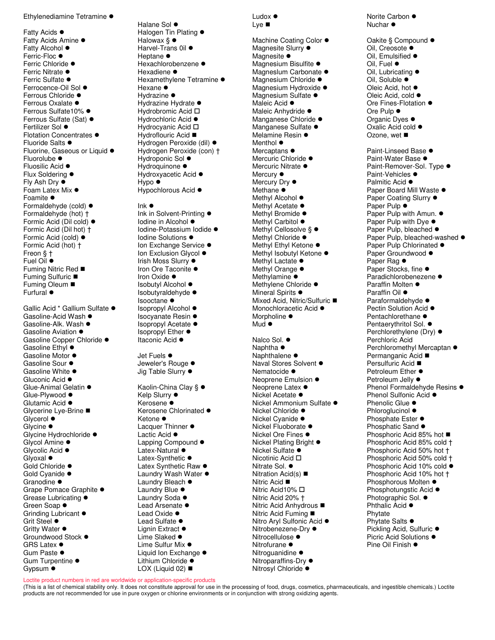Ethylenediamine Tetramine  $\bullet$ 

Fatty Acids  $\bullet$ Fatty Acids Amine  $\bullet$ Fatty Alcohol  $\bullet$ Ferric-Floc  $\bullet$ Ferric Chloride  $\bullet$ Ferric Nitrate  $\bullet$ Ferric Sulfate  $\bullet$ Ferrocence-Oil Sol  $\bullet$ Ferrous Chloride  $\bullet$ Ferrous Oxalate  $\bullet$ Ferrous Sulfate10% ● Ferrous Sulfate (Sat)  $\bullet$ Fertilizer Sol  $\bullet$ J. Flotation Concentrates  $\bullet$ Fluoride Salts  $\bullet$ Fluorine, Gaseous or Liquid  $\bullet$ Fluorolube  $\bullet$ Fluosilic Acid ● Flux Soldering  $\bullet$ Fly Ash Dry  $\bullet$ t. Foam Latex Mix  $\bullet$ Foamite  $\bullet$ Formaldehyde (cold)  $\bullet$ Formaldehyde (hot) † Formic Acid (Dil cold) ● Formic Acid (Dil hot) † Formic Acid (cold)  $\bullet$ ÷, Formic Acid (hot) † Freon § † Fuel Oil  $\bullet$ Fuming Nitric Red ■ Fuming Sulfuric ■ Fuming Oleum ■ Furfural  $\bullet$ 

Gallic Acid \* Gallium Sulfate · Gasoline-Acid Wash  $\bullet$ Gasoline-Alk. Wash  $\bullet$ Gasoline Aviation  $\bullet$ Gasoline Copper Chloride · Gasoline Ethyl  $\bullet$ Gasoline Motor  $\bullet$ Gasoline Sour  $\bullet$ Gasoline White  $\bullet$ Gluconic Acid  $\bullet$ Glue-Animal Gelatin  $\bullet$ Glue-Plywood  $\bullet$ Glutamic Acid  $\bullet$ Glycerine Lye-Brine Glycerol  $\bullet$ Ť. Glycine  $\bullet$ Glycine Hydrochloride · Glycol Amine  $\bullet$ Glycolic Acid  $\bullet$  $Glyoxal$ Gold Chloride  $\bullet$ Gold Cvanide  $\bullet$ Granodine  $\bullet$ Grape Pomace Graphite  $\bullet$ Grease Lubricating  $\bullet$ Green Soap  $\bullet$ Grinding Lubricant  $\bullet$ Grit Steel  $\bullet$ Gritty Water  $\bullet$ Groundwood Stock  $\bullet$  $GRS$  Latex  $\bullet$ Gum Paste  $\bullet$ Gum Turpentine  $\bullet$ Gypsum  $\bullet$ 

Halane Sol  $\bullet$ Halogen Tin Plating  $\bullet$ Halowax  $\S$   $\bullet$ Harvel-Trans  $0i$ l  $\bullet$ Heptane  $\bullet$ Hexachlorobenzene · Hexadiene  $\bullet$ Hexamethylene Tetramine  $\bullet$ Hexane  $\bullet$ Ĩ. Hydrazine  $\bullet$ Hydrazine Hydrate  $\bullet$ Hydrobromic Acid  $\square$ Hydrochloric Acid  $\bullet$ Hydrocyanic Acid  $\square$ Hydroflouric Acid ■ Hydrogen Peroxide (dil)  $\bullet$ Hydrogen Peroxide (con) † Hydroponic Sol  $\bullet$ Hydroquinone  $\bullet$ Hydroxyacetic Acid  $\bullet$ Hypo ● Hypochlorous Acid  $\bullet$ 

#### $lnk$   $\bullet$

Ink in Solvent-Printing  $\bullet$ Iodine in Alcohol ● J. Iodine-Potassium Iodide ● Iodine Solutions ● Ion Exchange Service ● Ion Exclusion Glycol  $\bullet$ Irish Moss Slurry  $\bullet$ Iron Ore Taconite  $\bullet$ Iron Oxide  $\bullet$ Isobutyl Alcohol ● Isobutyraldehyde ●  $Isoctane$   $\bullet$  $\mathcal{L}_{\mathcal{L}}$ Isopropyl Alcohol ● Isocyanate Resin ● Isopropyl Acetate ● Isopropyl Ether ● Itaconic Acid ●

Jet Fuels  $\bullet$ Jeweler's Rouge  $\bullet$ Jig Table Slurry  $\bullet$ 

Kaolin-China Clay § ● Kelp Slurry ● Kerosene · Kerosene Chlorinated  $\bullet$ Ketone ● Lacquer Thinner  $\bullet$ Lactic Acid  $\bullet$ Lapping Compound  $\bullet$ Latex-Natural  $\bullet$ Latex-Synthetic  $\bullet$ Latex Synthetic Raw  $\bullet$ Laundry Wash Water  $\bullet$ Laundry Bleach  $\bullet$ Laundry Blue  $\bullet$ Laundry Soda  $\bullet$ Lead Arsenate  $\bullet$ Lead Oxide  $\bullet$ Lead Sulfate  $\bullet$ Lignin Extract  $\bullet$ Lime Slaked  $\bullet$ Lime Sulfur Mix  $\bullet$ Liquid Ion Exchange  $\bullet$ Lithium Chloride · LOX (Liquid 02) ■

Ludox  $\bullet$ Lye ■

Machine Coating Color  $\bullet$ Magnesite Slurry  $\bullet$ Magnesite  $\bullet$ Magnesium Bisulfite  $\bullet$ Magneslum Carbonate  $\bullet$ Magnesium Chloride · Magnesium Hydroxide · Magnesium Sulfate  $\bullet$ Maleic Acid  $\bullet$ Maleic Anhydride · Manganese Chloride · Manganese Sulfate  $\bullet$ Melamine Resin  $\bullet$ Menthol  $\bullet$ Mercaptans  $\bullet$ Mercuric Chloride  $\bullet$ Mercuric Nitrate  $\bullet$ Mercury  $\bullet$ Mercury Dry  $\bullet$ Methane  $\bullet$ t, Methyl Alcohol  $\bullet$ Methyl Acetate  $\bullet$ Methyl Bromide  $\bullet$ Methyl Carbitol  $\bullet$ Methyl Cellosolve § ● Methyl Chloride  $\bullet$ Ĩ. Methyl Ethyl Ketone  $\bullet$ Methyl Isobutyl Ketone · Methyl Lactate  $\bullet$ Methyl Orange  $\bullet$ Methylamine  $\bullet$ Methylene Chloride  $\bullet$ Mineral Spirits  $\bullet$ Mixed Acid, Nitric/Sulfuric ■ Monochloracetic Acid  $\bullet$ Morpholine  $\bullet$  $Mud$   $\bullet$ Nalco Sol.  $\bullet$ Naphtha  $\bullet$ Naphthalene $\bullet$ Naval Stores Solvent ● Nematocide  $\bullet$ Neoprene Emulsion  $\bullet$ Neoprene Latex  $\bullet$ Nickel Acetate  $\bullet$ Nickel Ammonium Sulfate · Nickel Chloride ● Nickel Cyanide · Nickel Fluoborate  $\bullet$ Nickel Ore Fines  $\bullet$ Nickel Plating Bright ● Nickel Sulfate ● Т, Nicotinic Acid □ Nitrate Sol. ● Nitration Acid(s) ■ Nitric Acid ■ Nitric Acid10% □ Nitric Acid 20% † Nitric Acid Anhydrous ■ Nitric Acid Fuming ■ Nitro Aryl Sulfonic Acid ● Nitrobenezene-Dry ● Nitrocellulose  $\bullet$ - 1 Nitrofurane  $\bullet$ Nitroguanidine · Nitroparaffins-Dry  $\bullet$ Nitrosyl Chloride<sup>o</sup>

Norite Carbon  $\bullet$ Nuchar  $\bullet$ 

Oakite § Compound ● Oil, Creosote  $\bullet$ Oil, Emulsified  $\bullet$ Oil, Fuel  $\bullet$ Oil, Lubricating  $\bullet$ Oil, Soluble  $\bullet$ Ĩ. Oleic Acid, hot ● Oleic Acid, cold  $\bullet$ Ore Fines-Flotation  $\bullet$ Ore Pulp  $\bullet$ Organic Dyes  $\bullet$ Oxalic Acid cold  $\bullet$ Ozone, wet Paint-Linseed Base  $\bullet$ Paint-Water Base  $\bullet$ Paint-Remover-Sol. Type  $\bullet$ Paint-Vehicles  $\bullet$ Palmitic Acid  $\bullet$ Paper Board Mill Waste  $\bullet$ Paper Coating Slurry  $\bullet$ Paper Pulp  $\bullet$ Ĩ. Paper Pulp with Amun.  $\bullet$ Paper Pulp with Dye  $\bullet$ Paper Pulp, bleached  $\bullet$ Paper Pulp, bleached-washed  $\bullet$ Paper Pulp Chlorinated  $\bullet$ Paper Groundwood · Paper Rag  $\bullet$ Paper Stocks, fine  $\bullet$ Paradichlorobenezene · Paraffin Molten  $\bullet$ Paraffin Oil  $\bullet$ Paraformaldehyde  $\bullet$ Pectin Solution Acid  $\bullet$ Pentachlorethane  $\bullet$ Pentaerythritol Sol.  $\bullet$ Perchlorethylene (Dry)  $\bullet$ Perchloric Acid Perchloromethyl Mercaptan  $\bullet$ Permanganic Acid ■ Persulfuric Acid ■ Petroleum Ether  $\bullet$ Petroleum Jelly  $\bullet$ Phenol Formaldehyde Resins  $\bullet$ Phenol Sulfonic Acid  $\bullet$ Phenolic Glue  $\bullet$ Phloroglucinol  $\bullet$ Phosphate Ester  $\bullet$ Phosphatic Sand  $\bullet$ Phosphoric Acid 85% hot ■ Phosphoric Acid 85% cold † Phosphoric Acid 50% hot † Phosphoric Acid 50% cold † Phosphoric Acid 10% cold  $\bullet$ Phosphoric Acid 10% hot † Phosphorous Molten  $\bullet$ Phosphotungstic Acid  $\bullet$ Photographic Sol.  $\bullet$ Phthalic Acid  $\bullet$ Phytate Phytate Salts  $\bullet$ Pickling Acid, Sulfuric ● Picric Acid Solutions  $\bullet$ Pine Oil Finish  $\bullet$ 

Loctite product numbers in red are worldwide or application-specific products

(This is a list of chemical stability only. It does not constitute approval for use in the processing of food, drugs, cosmetics, pharmaceuticals, and ingestible chemicals.) Loctite products are not recommended for use in pure oxygen or chlorine environments or in conjunction with strong oxidizing agents.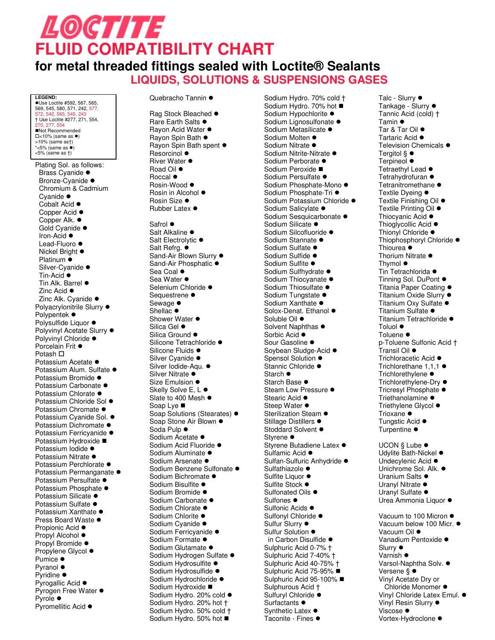# LOCTITE **FLUID COMPATIBILITY CHART**

#### **for metal threaded fittings sealed with Loctite® Sealants LIQUIDS, SOLUTIONS & SUSPENSIONS GASES**

**LEGEND:**<br>●Use Loctite #592, 567, 565, 569, 545, 580, 571, 242, 577, 572, 542, 565, 54 † Use Loctite #277, 271, 554, 270, 277, 554 Not Recommended  $\square$ <10% (same as  $\bullet$ ) >10% (same as†)<br>\*<5% (same as ●) <5% (same as †)

Plating Sol. as follows: Brass Cyanide  $\bullet$ Bronze-Cyanide · Chromium & Cadmium Cvanide  $\bullet$ Cobalt Acid  $\bullet$ Copper Acid  $\bullet$ Copper Alk. ● Gold Cyanide · Iron-Acid  $\bullet$ Lead-Fluoro · Nickel Bright ● Platinum  $\bullet$ Silver-Cyanide · Tin-Acid  $\bullet$ Tin Alk. Barrel  $\bullet$ Zinc Acid  $\bullet$ Zinc Alk. Cyanide  $\bullet$ Polyacrylonitrile Slurry  $\bullet$ Polypentek  $\bullet$ Polysulfide Liquor  $\bullet$ Polyvinyl Acetate Slurry  $\bullet$ Polyvinyl Chloride  $\bullet$ Porcelain Frit  $\bullet$ Potash  $\square$ Potassium Acetate · Potassium Alum. Sulfate · Potassium Bromide · Potassium Carbonate · Potassium Chlorate  $\bullet$ Potassium Chloride Sol · Potassium Chromate · Potassium Cyanide Sol. · Potassium Dichromate · Potassium Ferricyanide · Potassium Hydroxide ■ Potassium Iodide · Potassium Nitrate  $\bullet$ Potassium Perchlorate  $\bullet$ Potassium Permanganate · Potassium Persulfate · Potassium Phosphate  $\bullet$ Potassium Silicate · Potassium Sulfate · Potassium Xanthate · Press Board Waste  $\bullet$ Propionic Acid  $\bullet$ Propyl Alcohol  $\bullet$ Propyl Bromide  $\bullet$ Propylene Glycol  $\bullet$ Pumice  $\bullet$ Pyranol  $\bullet$ Pyridine  $\bullet$ Pyrogallic Acid  $\bullet$ Pyrogen Free Water  $\bullet$ Pyrole ● Pyromellitic Acid  $\bullet$ 

Quebracho Tannin · Rag Stock Bleached  $\bullet$ 

Rare Earth Salts  $\bullet$ Rayon Acid Water  $\bullet$ Rayon Spin Bath  $\bullet$ Rayon Spin Bath spent  $\bullet$  $Resorcinol$   $\bullet$ River Water  $\bullet$ Road Oil  $\bullet$ Roccal  $\bullet$ Rosin-Wood  $\bullet$ Rosin in Alcohol  $\bullet$ Rosin Size  $\bullet$ Rubber Latex  $\bullet$ Safrol  $\bullet$ Salt Alkaline  $\bullet$ Salt Electrolytic  $\bullet$ Salt Refrg.  $\bullet$ Sand-Air Blown Slurry  $\bullet$ Sand-Air Phosphatic  $\bullet$ Sea Coal  $\bullet$ Sea Water  $\bullet$ Selenium Chloride · Sequestrene  $\bullet$ Sewage  $\bullet$ Shellac  $\bullet$ Shower Water  $\bullet$ Silica Gel  $\bullet$ Silica Ground  $\bullet$ Silicone Tetrachloride ● Silicone Fluids ● Silver Cyanide · Silver Iodide-Aqu. · Silver Nitrate  $\bullet$ t, Size Emulsion  $\bullet$ Skelly Solve E, L  $\bullet$ Slate to 400 Mesh  $\bullet$ Soap Lye ■ Soap Solutions (Stearates)  $\bullet$ Soap Stone Air Blown  $\bullet$ Soda Pulp  $\bullet$ Sodium Acetate  $\bullet$ Sodium Acid Fluoride · Sodium Aluminate · Sodium Arsenate · Sodium Benzene Sulfonate · Sodium Bichromate  $\bullet$ Sodium Bisulfite · Sodium Bromide · Sodium Carbonate · Sodium Chlorate · Sodium Chlorite · Sodium Cyanide · Sodium Ferricyanide · Sodium Formate  $\bullet$ Sodium Glutamate · Sodium Hydrogen Sulfate · Sodium Hydrosulfite  $\bullet$ Sodium Hydrosulfide · Sodium Hydrochloride · Sodium Hydroxide ■ Sodium Hydro. 20% cold  $\bullet$ Sodium Hydro. 20% hot † Sodium Hydro. 50% cold † Sodium Hydro. 50% hot ■

Sodium Hydro. 70% cold † Sodium Hydro. 70% hot ■<br>Sodium Hypochlorite ● Sodium Hypochlorite  $\bullet$ Sodium Lignosulfonate  $\bullet$ Sodium Metasilicate  $\bullet$ Sodium Molten  $\bullet$ Sodium Nitrate  $\bullet$ Sodium Nitrite-Nitrate  $\bullet$ Sodium Perborate · Sodium Peroxide ■ Sodium Persulfate · Sodium Phosphate-Mono · Sodium Phosphate-Tri  $\bullet$ Sodium Potassium Chloride · Sodium Salicylate · Sodium Sesquicarbonate · Sodium Silicate · Sodium Silcofluoride · Sodium Stannate · Sodium Sulfate  $\bullet$ Sodium Sulfide · Sodium Sulfite  $\bullet$ Sodium Sulfhydrate  $\bullet$ Sodium Thiocyanate  $\bullet$ Sodium Thiosulfate  $\bullet$ Sodium Tungstate  $\bullet$ Sodium Xanthate  $\bullet$ Solox-Denat. Ethanol  $\bullet$ Soluble Oil  $\bullet$ Solvent Naphthas  $\bullet$ Sorbic Acid  $\bullet$ Sour Gasoline  $\bullet$ Soybean Sludge-Acid  $\bullet$ Spensol Solution  $\bullet$ Stannic Chloride  $\bullet$ Starch  $\bullet$ Starch Base  $\bullet$ Steam Low Pressure  $\bullet$ Stearic Acid  $\bullet$ Steep Water  $\bullet$ Sterilization Steam  $\bullet$ Stillage Distillers  $\bullet$ Stoddard Solvent  $\bullet$ Styrene  $\bullet$ Styrene Butadiene Latex  $\bullet$ Sulfamic Acid ● Sulfan-Sulfuric Anhydride · Sulfathiazole  $\bullet$ Sulfite Liquor  $\bullet$ Sulfite Stock ● Sulfonated Oils  $\bullet$ Sulfones  $\bullet$ Sulfonic Acids ● Sulfonyl Chloride · Sulfur Slurry  $\bullet$ Sulfur Solution  $\bullet$ in Carbon Disulfide  $\bullet$ Sulphuric Acid 0-7% † Sulphuric Acid 7-40% † Sulphuric Acid 40-75% † Sulphuric Acid 75-95% ■ Sulphuric Acid 95-100% Sulphurous Acid † Sulfuryl Chloride · Surfactants  $\bullet$ Synthetic Latex  $\bullet$ Taconite - Fines  $\bullet$ 

Talc - Slurry  $\bullet$ Tankage - Slurry  $\bullet$ Tannic Acid (cold) † Tamin  $\bullet$ Tar & Tar Oil  $\bullet$ Tartaric Acid  $\bullet$ Television Chemicals  $\bullet$ Tergitol  $\S\,\bullet$ Terpineol  $\bullet$ Tetraethyl Lead  $\bullet$ Tetrahydrofuran  $\bullet$ Tetranitromethane  $\bullet$ Textile Dveina ● Textile Finishing Oil ● Textile Printing Oil  $\bullet$ Thiocyanic Acid  $\bullet$ Thioglycollic Acid  $\bullet$ Thionyl Chloride  $\bullet$ Thiophosphoryl Chloride · Thiourea  $\bullet$ Thorium Nitrate  $\bullet$ Thymol $\bullet$ Tin Tetrachlorida  $\bullet$ Tinning Sol. DuPont  $\bullet$ Titania Paper Coating  $\bullet$ Titanium Oxide Slurry ● Titanium Oxy Sulfate · Titanium Sulfate ● Titanium Tetrachloride ·  $T$ oluol $\bullet$ Toluene  $\bullet$ p-Toluene Sulfonic Acid † .<br>Transil Oil ● Trichloracetic Acid  $\bullet$ Trichlorethane  $1.1.1$   $\bullet$ Trichlorethylene  $\bullet$ Trichlorethylene-Dry ● Tricresyl Phosphate  $\bullet$ Triethanolamine  $\bullet$ Triethylene Glycol  $\bullet$ Trioxane  $\bullet$ Tungstic Acid ● Turpentine  $\bullet$ UCON  $\S$  Lube  $\bullet$ Udylite Bath-Nickel  $\bullet$ Undecylenic Acid  $\bullet$ Unichrome Sol. Alk.  $\bullet$ Uranium Salts  $\bullet$ Uranyl Nitrate  $\bullet$ Uranyl Sulfate · Urea Ammonia Liquor  $\bullet$ 

Vacuum to 100 Micron  $\bullet$ Vacuum below 100 Micr.  $\bullet$ Vacuum Oil  $\bullet$ Vanadium Pentoxide · Slurry  $\bullet$ Varnish  $\bullet$ Varsol-Naphtha Solv.  $\bullet$ Versene § ● Vinyl Acetate Dry or Chloride Monomer  $\bullet$ Vinyl Chloride Latex Emul.  $\bullet$ Vinyl Resin Slurry  $\bullet$ Viscose  $\bullet$ Vortex-Hydroclone  $\bullet$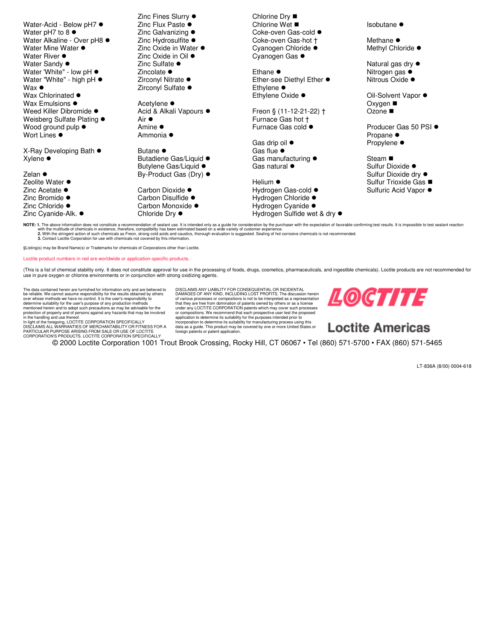Water-Acid - Below pH7  $\bullet$ Water pH7 to  $8 \bullet$ Water Alkaline - Over pH8  $\bullet$ Water Mine Water  $\bullet$ ТÎ Water River  $\bullet$ Water Sandy  $\bullet$ Water 'White" - low pH  $\bullet$ Water "White" - high pH  $\bullet$ Wax $\bullet$ Wax Chlorinated  $\bullet$ Wax Emulsions  $\bullet$ Weed Killer Dibromide  $\bullet$ Weisberg Sulfate Plating  $\bullet$ Wood ground pulp  $\bullet$ Wort Lines  $\bullet$ ÷, X-Ray Developing Bath ●  $X$ ylene  $\bullet$ Zelan  $\bullet$ Zeolite Water ● Zinc Acetate  $\bullet$ Zinc Bromide  $\bullet$ Zinc Chloride ● Zinc Cyanide-Alk.  $\bullet$ Zinc Fines Slurry  $\bullet$ Zinc Flux Paste  $\bullet$ Zinc Galvanizing  $\bullet$ Zinc Hydrosulfite  $\bullet$ Zinc Oxide in Water  $\bullet$ Zinc Oxide in Oil  $\bullet$ Zinc Sulfate  $\bullet$ Zincolate  $\bullet$ Zirconyl Nitrate  $\bullet$ Zirconyl Sulfate  $\bullet$ Acetylene  $\bullet$ Acid & Alkali Vapours  $\bullet$ Air  $\bullet$ Amine  $\bullet$ Ammonia  $\bullet$ Butane  $\bullet$ Butadiene Gas/Liquid · Butylene Gas/Liquid  $\bullet$ By-Product Gas (Dry)  $\bullet$ Carbon Dioxide · Carbon Disulfide  $\bullet$ Carbon Monoxide · Chloride Dry  $\bullet$ Chlorine Dry ■ Chlorine Wet ■ Coke-oven Gas-cold  $\bullet$ Coke-oven Gas-hot † Cyanogen Chloride · Cyanogen Gas  $\bullet$ Ethane  $\bullet$ Ether-see Diethyl Ether  $\bullet$ Ethylene  $\bullet$ Ethylene Oxide  $\bullet$ Freon § (11-12-21-22) † Furnace Gas hot † Furnace Gas cold  $\bullet$ Gas drip oil  $\bullet$ Gas flue  $\bullet$ Gas manufacturing  $\bullet$ Gas natural  $\bullet$ Helium  $\bullet$ Hydrogen Gas-cold  $\bullet$ Hydrogen Chloride ● Hydrogen Cyanide · Hydrogen Sulfide wet & dry  $\bullet$ Isobutane  $\bullet$ Methane  $\bullet$ Methyl Chloride  $\bullet$ Natural gas dry  $\bullet$ Nitrogen gas  $\bullet$ Nitrous Oxide ● Oil-Solvent Vapor ● Oxygen ■ Ozone ■ Producer Gas 50 PSI ● Propane  $\bullet$ Propylene  $\bullet$ Steam ■ Sulfur Dioxide · Sulfur Dioxide dry  $\bullet$ Sulfur Trioxide Gas ■ Sulfuric Acid Vapor  $\bullet$ 

NOTE: 1. The above information does not constitute a recommendation of sealant use. It is intended only as a guide for consideration by the purchaser with the expectation of favorable confirming test results. It is impossi with the multitude of chemicals in existence, therefore, compatibility has been estimated based on a wide variety of customer experience.<br>2. With the stringent action of such chemicals as Freon, strong cold acids and caust

§Listing(s) may be Brand Name(s) or Trademarks for chemicals of Corporations other than Loctite.

Loctite product numbers in red are worldwide or application-specific products.

(This is a list of chemical stability only. It does not constitute approval for use in the processing of foods, drugs, cosmetics, pharmaceuticals, and ingestible chemicals). Loctite products are not recommended for<br>use in

The data contained herein are furnished for information only and are believed to<br>be reliable. We cannot assume responsibility for the results obtained by others<br>over whose methods we have no control. It is the user's respo mentioned herein and to adopt such precautions as may be advisable for the<br>protection of property and of persons against any hazards that may be involved<br>in the handling and use thereof.<br>In light of the foregoing, LOCTITE CORPORATION'S PRODUCTS. LOCTITE CORPORATION SPECIFICALLY

DISCLAIMS ANY LIABILITY FOR CONSEQUENTIAL OR INCIDENTAL<br>DAMAGES OF ANY KIND, INCLUDING LOST PROFITS. The discussion herein<br>of various processes or compositions is not to be interpreted as a representation<br>that they are fre under any LOCTITE CORPORATION patents which may cover such processes<br>or compositions. We recommend that each prospective user test the proposed<br>application to determine its suitability for the purposes intended prior to<br>in data as a guide. This product may be covered by one or more United States or foreign patents or patent application.

© 2000 Loctite Corporation 1001 Trout Brook Crossing, Rocky Hill, CT 06067 • Tel (860) 571-5700 • FAX (860) 571-5465

LT-836A (8/00) 0004-618

LOCTITE

**Loctite Americas**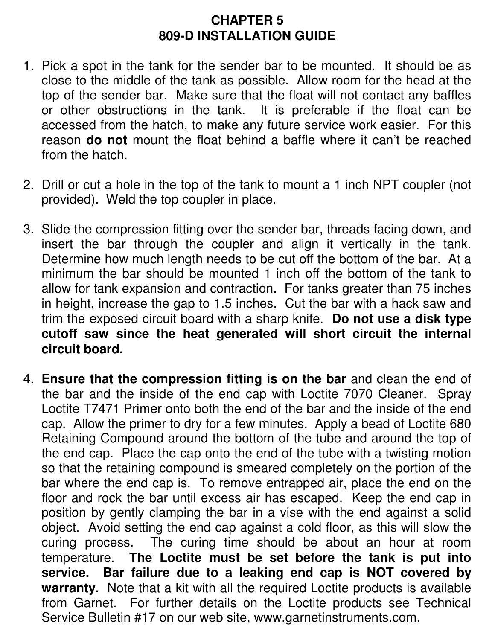#### **CHAPTER 5 809-D INSTALLATION GUIDE**

- 1. Pick a spot in the tank for the sender bar to be mounted. It should be as close to the middle of the tank as possible. Allow room for the head at the top of the sender bar. Make sure that the float will not contact any baffles or other obstructions in the tank. It is preferable if the float can be accessed from the hatch, to make any future service work easier. For this reason **do not** mount the float behind a baffle where it can't be reached from the hatch.
- 2. Drill or cut a hole in the top of the tank to mount a 1 inch NPT coupler (not provided). Weld the top coupler in place.
- 3. Slide the compression fitting over the sender bar, threads facing down, and insert the bar through the coupler and align it vertically in the tank. Determine how much length needs to be cut off the bottom of the bar. At a minimum the bar should be mounted 1 inch off the bottom of the tank to allow for tank expansion and contraction. For tanks greater than 75 inches in height, increase the gap to 1.5 inches. Cut the bar with a hack saw and trim the exposed circuit board with a sharp knife. **Do not use a disk type cutoff saw since the heat generated will short circuit the internal circuit board.**
- 4. **Ensure that the compression fitting is on the bar** and clean the end of the bar and the inside of the end cap with Loctite 7070 Cleaner. Spray Loctite T7471 Primer onto both the end of the bar and the inside of the end cap. Allow the primer to dry for a few minutes. Apply a bead of Loctite 680 Retaining Compound around the bottom of the tube and around the top of the end cap. Place the cap onto the end of the tube with a twisting motion so that the retaining compound is smeared completely on the portion of the bar where the end cap is. To remove entrapped air, place the end on the floor and rock the bar until excess air has escaped. Keep the end cap in position by gently clamping the bar in a vise with the end against a solid object. Avoid setting the end cap against a cold floor, as this will slow the curing process. The curing time should be about an hour at room temperature. **The Loctite must be set before the tank is put into service. Bar failure due to a leaking end cap is NOT covered by warranty.** Note that a kit with all the required Loctite products is available from Garnet. For further details on the Loctite products see Technical Service Bulletin #17 on our web site, www.garnetinstruments.com.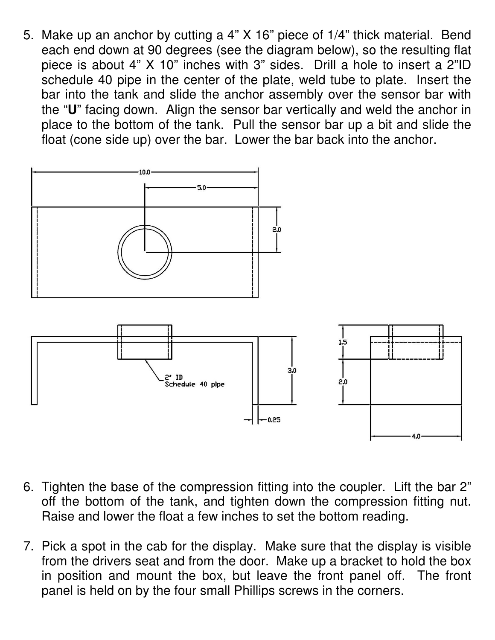5. Make up an anchor by cutting a 4" X 16" piece of 1/4" thick material. Bend each end down at 90 degrees (see the diagram below), so the resulting flat piece is about 4" X 10" inches with 3" sides. Drill a hole to insert a 2"ID schedule 40 pipe in the center of the plate, weld tube to plate. Insert the bar into the tank and slide the anchor assembly over the sensor bar with the "**U**" facing down. Align the sensor bar vertically and weld the anchor in place to the bottom of the tank. Pull the sensor bar up a bit and slide the float (cone side up) over the bar. Lower the bar back into the anchor.



- 6. Tighten the base of the compression fitting into the coupler. Lift the bar 2" off the bottom of the tank, and tighten down the compression fitting nut. Raise and lower the float a few inches to set the bottom reading.
- 7. Pick a spot in the cab for the display. Make sure that the display is visible from the drivers seat and from the door. Make up a bracket to hold the box in position and mount the box, but leave the front panel off. The front panel is held on by the four small Phillips screws in the corners.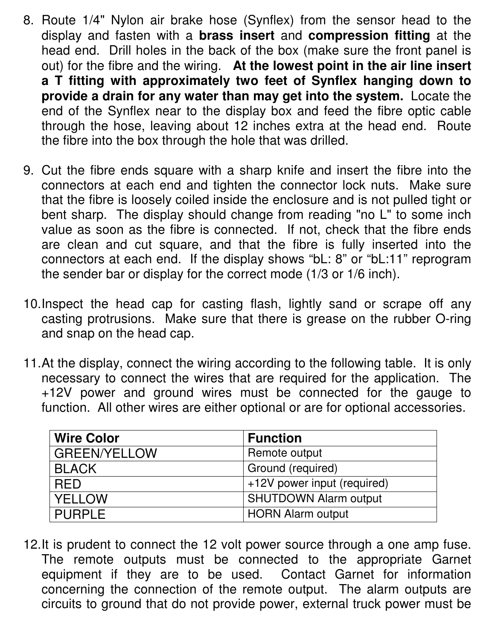- 8. Route 1/4" Nylon air brake hose (Synflex) from the sensor head to the display and fasten with a **brass insert** and **compression fitting** at the head end. Drill holes in the back of the box (make sure the front panel is out) for the fibre and the wiring. **At the lowest point in the air line insert a T fitting with approximately two feet of Synflex hanging down to provide a drain for any water than may get into the system.** Locate the end of the Synflex near to the display box and feed the fibre optic cable through the hose, leaving about 12 inches extra at the head end. Route the fibre into the box through the hole that was drilled.
- 9. Cut the fibre ends square with a sharp knife and insert the fibre into the connectors at each end and tighten the connector lock nuts. Make sure that the fibre is loosely coiled inside the enclosure and is not pulled tight or bent sharp. The display should change from reading "no L" to some inch value as soon as the fibre is connected. If not, check that the fibre ends are clean and cut square, and that the fibre is fully inserted into the connectors at each end. If the display shows "bL: 8" or "bL:11" reprogram the sender bar or display for the correct mode (1/3 or 1/6 inch).
- 10. Inspect the head cap for casting flash, lightly sand or scrape off any casting protrusions. Make sure that there is grease on the rubber O-ring and snap on the head cap.
- 11. At the display, connect the wiring according to the following table. It is only necessary to connect the wires that are required for the application. The +12V power and ground wires must be connected for the gauge to function. All other wires are either optional or are for optional accessories.

| <b>Wire Color</b>   | <b>Function</b>              |
|---------------------|------------------------------|
| <b>GREEN/YELLOW</b> | Remote output                |
| <b>BLACK</b>        | Ground (required)            |
| <b>RED</b>          | +12V power input (required)  |
| YELLOW              | <b>SHUTDOWN Alarm output</b> |
| <b>PURPLE</b>       | <b>HORN Alarm output</b>     |

12. It is prudent to connect the 12 volt power source through a one amp fuse. The remote outputs must be connected to the appropriate Garnet equipment if they are to be used. Contact Garnet for information concerning the connection of the remote output. The alarm outputs are circuits to ground that do not provide power, external truck power must be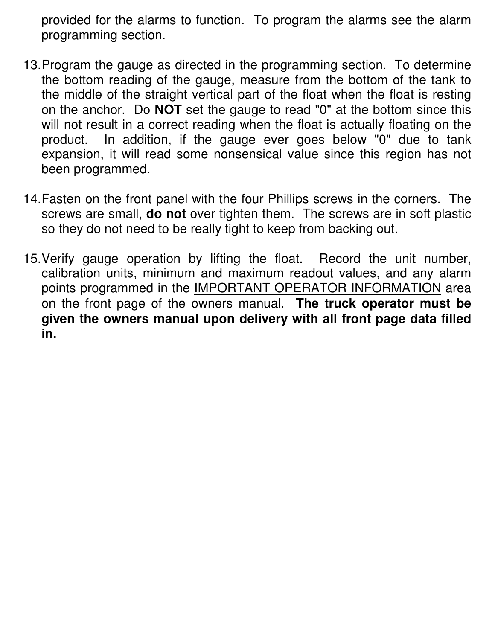provided for the alarms to function. To program the alarms see the alarm programming section.

- 13. Program the gauge as directed in the programming section. To determine the bottom reading of the gauge, measure from the bottom of the tank to the middle of the straight vertical part of the float when the float is resting on the anchor. Do **NOT** set the gauge to read "0" at the bottom since this will not result in a correct reading when the float is actually floating on the product. In addition, if the gauge ever goes below "0" due to tank expansion, it will read some nonsensical value since this region has not been programmed.
- 14. Fasten on the front panel with the four Phillips screws in the corners. The screws are small, **do not** over tighten them. The screws are in soft plastic so they do not need to be really tight to keep from backing out.
- 15. Verify gauge operation by lifting the float. Record the unit number, calibration units, minimum and maximum readout values, and any alarm points programmed in the **IMPORTANT OPERATOR INFORMATION** area on the front page of the owners manual. **The truck operator must be given the owners manual upon delivery with all front page data filled in.**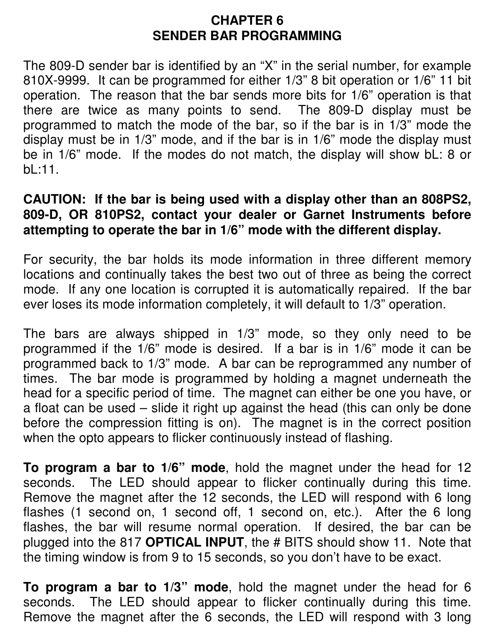#### **CHAPTER 6 SENDER BAR PROGRAMMING**

The 809-D sender bar is identified by an "X" in the serial number, for example 810X-9999. It can be programmed for either 1/3" 8 bit operation or 1/6" 11 bit operation. The reason that the bar sends more bits for 1/6" operation is that there are twice as many points to send. The 809-D display must be programmed to match the mode of the bar, so if the bar is in 1/3" mode the display must be in 1/3" mode, and if the bar is in 1/6" mode the display must be in 1/6" mode. If the modes do not match, the display will show bL: 8 or bL:11.

#### **CAUTION: If the bar is being used with a display other than an 808PS2, 809-D, OR 810PS2, contact your dealer or Garnet Instruments before attempting to operate the bar in 1/6" mode with the different display.**

For security, the bar holds its mode information in three different memory locations and continually takes the best two out of three as being the correct mode. If any one location is corrupted it is automatically repaired. If the bar ever loses its mode information completely, it will default to 1/3" operation.

The bars are always shipped in 1/3" mode, so they only need to be programmed if the 1/6" mode is desired. If a bar is in 1/6" mode it can be programmed back to 1/3" mode. A bar can be reprogrammed any number of times. The bar mode is programmed by holding a magnet underneath the head for a specific period of time. The magnet can either be one you have, or a float can be used – slide it right up against the head (this can only be done before the compression fitting is on). The magnet is in the correct position when the opto appears to flicker continuously instead of flashing.

**To program a bar to 1/6" mode**, hold the magnet under the head for 12 seconds. The LED should appear to flicker continually during this time. Remove the magnet after the 12 seconds, the LED will respond with 6 long flashes (1 second on, 1 second off, 1 second on, etc.). After the 6 long flashes, the bar will resume normal operation. If desired, the bar can be plugged into the 817 **OPTICAL INPUT**, the # BITS should show 11. Note that the timing window is from 9 to 15 seconds, so you don't have to be exact.

**To program a bar to 1/3" mode**, hold the magnet under the head for 6 seconds. The LED should appear to flicker continually during this time. Remove the magnet after the 6 seconds, the LED will respond with 3 long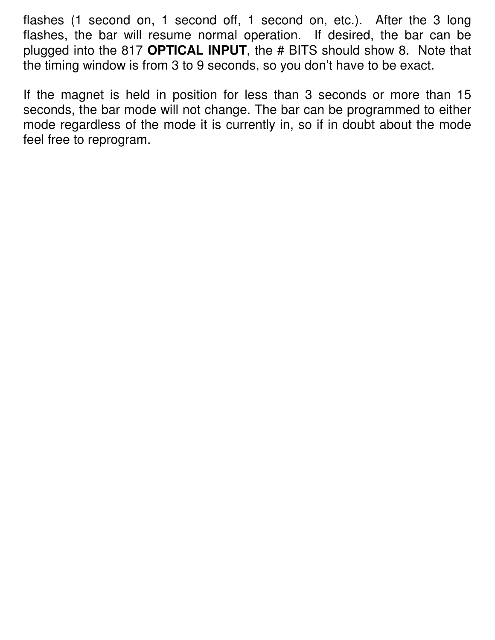flashes (1 second on, 1 second off, 1 second on, etc.). After the 3 long flashes, the bar will resume normal operation. If desired, the bar can be plugged into the 817 **OPTICAL INPUT**, the # BITS should show 8. Note that the timing window is from 3 to 9 seconds, so you don't have to be exact.

If the magnet is held in position for less than 3 seconds or more than 15 seconds, the bar mode will not change. The bar can be programmed to either mode regardless of the mode it is currently in, so if in doubt about the mode feel free to reprogram.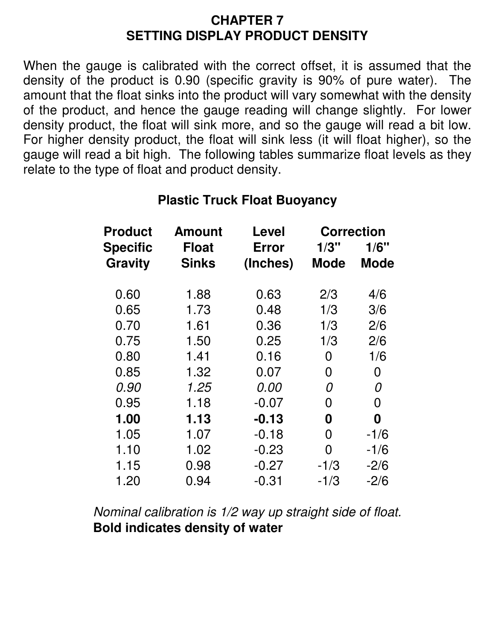#### **CHAPTER 7 SETTING DISPLAY PRODUCT DENSITY**

When the gauge is calibrated with the correct offset, it is assumed that the density of the product is 0.90 (specific gravity is 90% of pure water). The amount that the float sinks into the product will vary somewhat with the density of the product, and hence the gauge reading will change slightly. For lower density product, the float will sink more, and so the gauge will read a bit low. For higher density product, the float will sink less (it will float higher), so the gauge will read a bit high. The following tables summarize float levels as they relate to the type of float and product density.

| <b>Product</b> | <b>Amount</b> | Level    | <b>Correction</b> |        |
|----------------|---------------|----------|-------------------|--------|
| Specific       | <b>Float</b>  | Error    | 1/3"              | 1/6"   |
| Gravity        | <b>Sinks</b>  | (Inches) | Mode              | Mode   |
| 0.60           | 1.88          | 0.63     | 2/3               | 4/6    |
| 0.65           | 1.73          | 0.48     | 1/3               | 3/6    |
| 0.70           | 1.61          | 0.36     | 1/3               | 2/6    |
| 0.75           | 1.50          | 0.25     | 1/3               | 2/6    |
| 0.80           | 1.41          | 0.16     | 0                 | 1/6    |
| 0.85           | 1.32          | 0.07     | 0                 | 0      |
| 0.90           | 1.25          | 0.00     | 0                 | 0      |
| 0.95           | 1.18          | $-0.07$  | 0                 | 0      |
| 1.00           | 1.13          | $-0.13$  | 0                 | 0      |
| 1.05           | 1.07          | $-0.18$  | 0                 | $-1/6$ |
| 1.10           | 1.02          | $-0.23$  | 0                 | $-1/6$ |
| 1.15           | 0.98          | $-0.27$  | $-1/3$            | $-2/6$ |
| 1.20           | 0.94          | $-0.31$  | $-1/3$            | $-2/6$ |

#### **Plastic Truck Float Buoyancy**

Nominal calibration is 1/2 way up straight side of float. **Bold indicates density of water**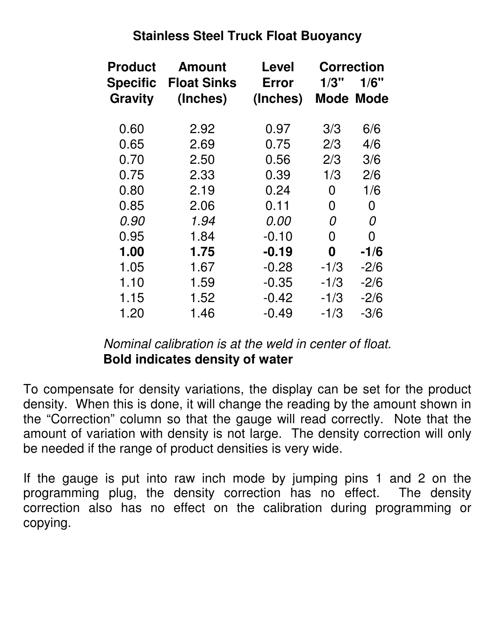#### **Stainless Steel Truck Float Buoyancy**

| <b>Product</b> | <b>Amount</b>      | <b>Level</b> | <b>Correction</b> |           |
|----------------|--------------------|--------------|-------------------|-----------|
| Specific       | <b>Float Sinks</b> | <b>Error</b> | 1/3"              | 1/6"      |
| <b>Gravity</b> | (Inches)           | (Inches)     |                   | Mode Mode |
| 0.60           | 2.92               | 0.97         | 3/3               | 6/6       |
| 0.65           | 2.69               | 0.75         | 2/3               | 4/6       |
| 0.70           | 2.50               | 0.56         | 2/3               | 3/6       |
| 0.75           | 2.33               | 0.39         | 1/3               | 2/6       |
| 0.80           | 2.19               | 0.24         | 0                 | 1/6       |
| 0.85           | 2.06               | 0.11         | 0                 | 0         |
| 0.90           | 1.94               | 0.00         | 0                 | 0         |
| 0.95           | 1.84               | $-0.10$      | 0                 | 0         |
| 1.00           | 1.75               | $-0.19$      | 0                 | $-1/6$    |
| 1.05           | 1.67               | $-0.28$      | $-1/3$            | $-2/6$    |
| 1.10           | 1.59               | $-0.35$      | $-1/3$            | $-2/6$    |
| 1.15           | 1.52               | $-0.42$      | $-1/3$            | $-2/6$    |
| 1.20           | 1.46               | $-0.49$      | $-1/3$            | $-3/6$    |

#### Nominal calibration is at the weld in center of float. **Bold indicates density of water**

To compensate for density variations, the display can be set for the product density. When this is done, it will change the reading by the amount shown in the "Correction" column so that the gauge will read correctly. Note that the amount of variation with density is not large. The density correction will only be needed if the range of product densities is very wide.

If the gauge is put into raw inch mode by jumping pins 1 and 2 on the programming plug, the density correction has no effect. The density correction also has no effect on the calibration during programming or copying.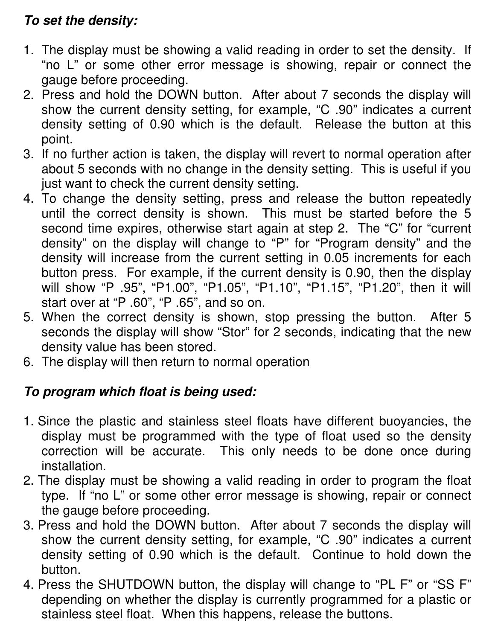### **To set the density:**

- 1. The display must be showing a valid reading in order to set the density. If "no L" or some other error message is showing, repair or connect the gauge before proceeding.
- 2. Press and hold the DOWN button. After about 7 seconds the display will show the current density setting, for example, "C .90" indicates a current density setting of 0.90 which is the default. Release the button at this point.
- 3. If no further action is taken, the display will revert to normal operation after about 5 seconds with no change in the density setting. This is useful if you just want to check the current density setting.
- 4. To change the density setting, press and release the button repeatedly until the correct density is shown. This must be started before the 5 second time expires, otherwise start again at step 2. The "C" for "current density" on the display will change to "P" for "Program density" and the density will increase from the current setting in 0.05 increments for each button press. For example, if the current density is 0.90, then the display will show "P .95", "P1.00", "P1.05", "P1.10", "P1.15", "P1.20", then it will start over at "P .60", "P .65", and so on.
- 5. When the correct density is shown, stop pressing the button. After 5 seconds the display will show "Stor" for 2 seconds, indicating that the new density value has been stored.
- 6. The display will then return to normal operation

### **To program which float is being used:**

- 1. Since the plastic and stainless steel floats have different buoyancies, the display must be programmed with the type of float used so the density correction will be accurate. This only needs to be done once during installation.
- 2. The display must be showing a valid reading in order to program the float type. If "no L" or some other error message is showing, repair or connect the gauge before proceeding.
- 3. Press and hold the DOWN button. After about 7 seconds the display will show the current density setting, for example, "C .90" indicates a current density setting of 0.90 which is the default. Continue to hold down the button.
- 4. Press the SHUTDOWN button, the display will change to "PL F" or "SS F" depending on whether the display is currently programmed for a plastic or stainless steel float. When this happens, release the buttons.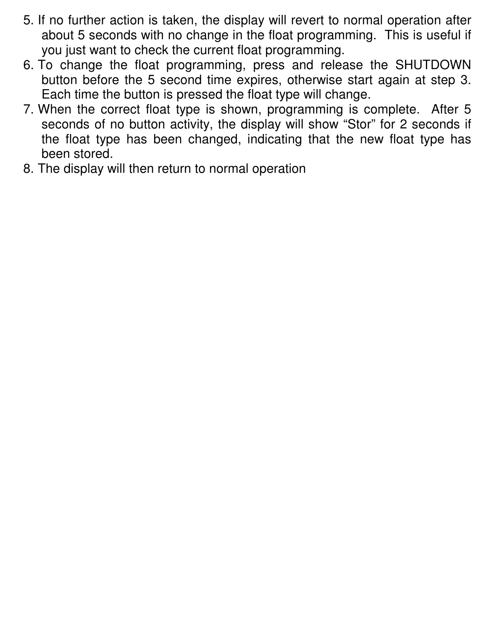- 5. If no further action is taken, the display will revert to normal operation after about 5 seconds with no change in the float programming. This is useful if you just want to check the current float programming.
- 6. To change the float programming, press and release the SHUTDOWN button before the 5 second time expires, otherwise start again at step 3. Each time the button is pressed the float type will change.
- 7. When the correct float type is shown, programming is complete. After 5 seconds of no button activity, the display will show "Stor" for 2 seconds if the float type has been changed, indicating that the new float type has been stored.
- 8. The display will then return to normal operation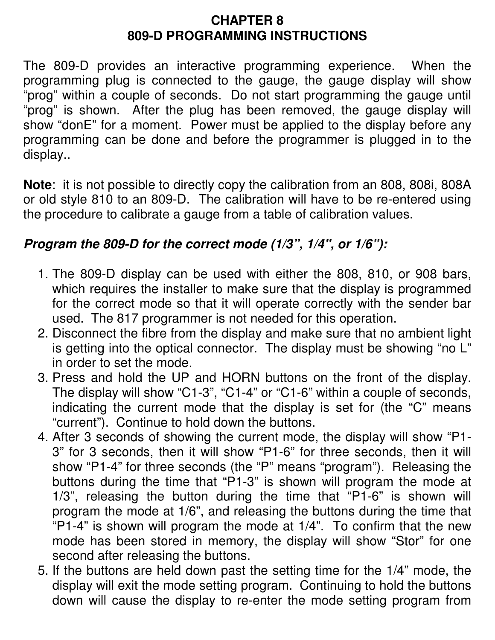#### **CHAPTER 8 809-D PROGRAMMING INSTRUCTIONS**

The 809-D provides an interactive programming experience. When the programming plug is connected to the gauge, the gauge display will show "prog" within a couple of seconds. Do not start programming the gauge until "prog" is shown. After the plug has been removed, the gauge display will show "donE" for a moment. Power must be applied to the display before any programming can be done and before the programmer is plugged in to the display..

**Note**: it is not possible to directly copy the calibration from an 808, 808i, 808A or old style 810 to an 809-D. The calibration will have to be re-entered using the procedure to calibrate a gauge from a table of calibration values.

#### **Program the 809-D for the correct mode (1/3", 1/4", or 1/6"):**

- 1. The 809-D display can be used with either the 808, 810, or 908 bars, which requires the installer to make sure that the display is programmed for the correct mode so that it will operate correctly with the sender bar used. The 817 programmer is not needed for this operation.
- 2. Disconnect the fibre from the display and make sure that no ambient light is getting into the optical connector. The display must be showing "no L" in order to set the mode.
- 3. Press and hold the UP and HORN buttons on the front of the display. The display will show "C1-3", "C1-4" or "C1-6" within a couple of seconds, indicating the current mode that the display is set for (the "C" means "current"). Continue to hold down the buttons.
- 4. After 3 seconds of showing the current mode, the display will show "P1- 3" for 3 seconds, then it will show "P1-6" for three seconds, then it will show "P1-4" for three seconds (the "P" means "program"). Releasing the buttons during the time that "P1-3" is shown will program the mode at 1/3", releasing the button during the time that "P1-6" is shown will program the mode at 1/6", and releasing the buttons during the time that "P1-4" is shown will program the mode at  $1/4$ ". To confirm that the new mode has been stored in memory, the display will show "Stor" for one second after releasing the buttons.
- 5. If the buttons are held down past the setting time for the 1/4" mode, the display will exit the mode setting program. Continuing to hold the buttons down will cause the display to re-enter the mode setting program from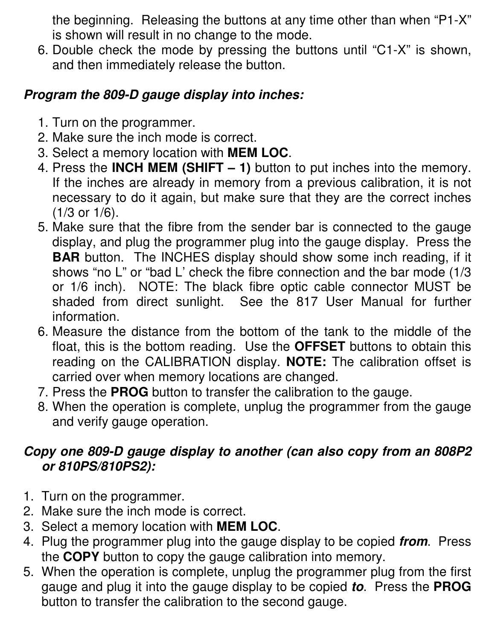the beginning. Releasing the buttons at any time other than when "P1-X" is shown will result in no change to the mode.

6. Double check the mode by pressing the buttons until "C1-X" is shown, and then immediately release the button.

#### **Program the 809-D gauge display into inches:**

- 1. Turn on the programmer.
- 2. Make sure the inch mode is correct.
- 3. Select a memory location with **MEM LOC**.
- 4. Press the **INCH MEM (SHIFT 1)** button to put inches into the memory. If the inches are already in memory from a previous calibration, it is not necessary to do it again, but make sure that they are the correct inches (1/3 or 1/6).
- 5. Make sure that the fibre from the sender bar is connected to the gauge display, and plug the programmer plug into the gauge display. Press the **BAR** button. The INCHES display should show some inch reading, if it shows "no L" or "bad L' check the fibre connection and the bar mode (1/3 or 1/6 inch). NOTE: The black fibre optic cable connector MUST be shaded from direct sunlight. See the 817 User Manual for further information.
- 6. Measure the distance from the bottom of the tank to the middle of the float, this is the bottom reading. Use the **OFFSET** buttons to obtain this reading on the CALIBRATION display. **NOTE:** The calibration offset is carried over when memory locations are changed.
- 7. Press the **PROG** button to transfer the calibration to the gauge.
- 8. When the operation is complete, unplug the programmer from the gauge and verify gauge operation.

#### **Copy one 809-D gauge display to another (can also copy from an 808P2 or 810PS/810PS2):**

- 1. Turn on the programmer.
- 2. Make sure the inch mode is correct.
- 3. Select a memory location with **MEM LOC**.
- 4. Plug the programmer plug into the gauge display to be copied **from**. Press the **COPY** button to copy the gauge calibration into memory.
- 5. When the operation is complete, unplug the programmer plug from the first gauge and plug it into the gauge display to be copied **to**. Press the **PROG** button to transfer the calibration to the second gauge.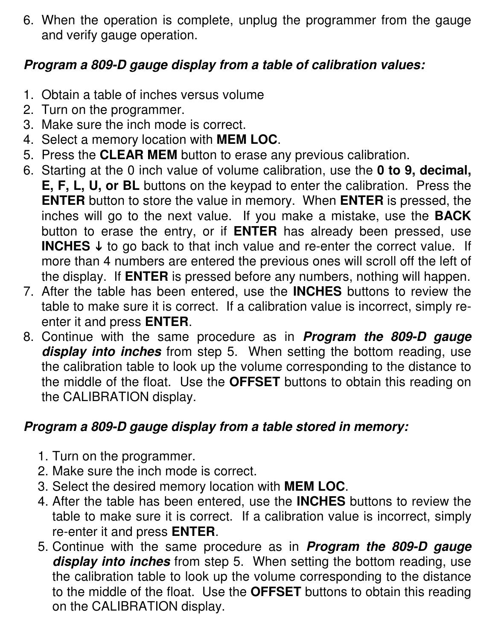6. When the operation is complete, unplug the programmer from the gauge and verify gauge operation.

#### **Program a 809-D gauge display from a table of calibration values:**

- 1. Obtain a table of inches versus volume
- 2. Turn on the programmer.
- 3. Make sure the inch mode is correct.
- 4. Select a memory location with **MEM LOC**.
- 5. Press the **CLEAR MEM** button to erase any previous calibration.
- 6. Starting at the 0 inch value of volume calibration, use the **0 to 9, decimal,**
- **E, F, L, U, or BL** buttons on the keypad to enter the calibration. Press the **ENTER** button to store the value in memory. When **ENTER** is pressed, the inches will go to the next value. If you make a mistake, use the **BACK** button to erase the entry, or if **ENTER** has already been pressed, use **INCHES**  $\downarrow$  to go back to that inch value and re-enter the correct value. If more than 4 numbers are entered the previous ones will scroll off the left of the display. If **ENTER** is pressed before any numbers, nothing will happen.
- 7. After the table has been entered, use the **INCHES** buttons to review the table to make sure it is correct. If a calibration value is incorrect, simply reenter it and press **ENTER**.
- 8. Continue with the same procedure as in **Program the 809-D gauge display into inches** from step 5. When setting the bottom reading, use the calibration table to look up the volume corresponding to the distance to the middle of the float. Use the **OFFSET** buttons to obtain this reading on the CALIBRATION display.

### **Program a 809-D gauge display from a table stored in memory:**

- 1. Turn on the programmer.
- 2. Make sure the inch mode is correct.
- 3. Select the desired memory location with **MEM LOC**.
- 4. After the table has been entered, use the **INCHES** buttons to review the table to make sure it is correct. If a calibration value is incorrect, simply re-enter it and press **ENTER**.
- 5. Continue with the same procedure as in **Program the 809-D gauge display into inches** from step 5. When setting the bottom reading, use the calibration table to look up the volume corresponding to the distance to the middle of the float. Use the **OFFSET** buttons to obtain this reading on the CALIBRATION display.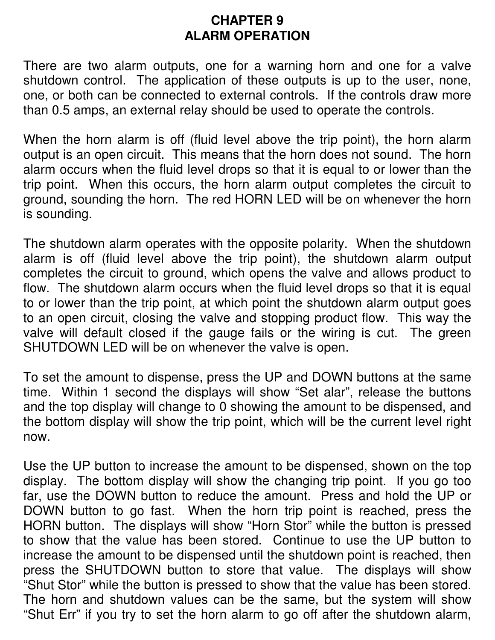#### **CHAPTER 9 ALARM OPERATION**

There are two alarm outputs, one for a warning horn and one for a valve shutdown control. The application of these outputs is up to the user, none, one, or both can be connected to external controls. If the controls draw more than 0.5 amps, an external relay should be used to operate the controls.

When the horn alarm is off (fluid level above the trip point), the horn alarm output is an open circuit. This means that the horn does not sound. The horn alarm occurs when the fluid level drops so that it is equal to or lower than the trip point. When this occurs, the horn alarm output completes the circuit to ground, sounding the horn. The red HORN LED will be on whenever the horn is sounding.

The shutdown alarm operates with the opposite polarity. When the shutdown alarm is off (fluid level above the trip point), the shutdown alarm output completes the circuit to ground, which opens the valve and allows product to flow. The shutdown alarm occurs when the fluid level drops so that it is equal to or lower than the trip point, at which point the shutdown alarm output goes to an open circuit, closing the valve and stopping product flow. This way the valve will default closed if the gauge fails or the wiring is cut. The green SHUTDOWN LED will be on whenever the valve is open.

To set the amount to dispense, press the UP and DOWN buttons at the same time. Within 1 second the displays will show "Set alar", release the buttons and the top display will change to 0 showing the amount to be dispensed, and the bottom display will show the trip point, which will be the current level right now.

Use the UP button to increase the amount to be dispensed, shown on the top display. The bottom display will show the changing trip point. If you go too far, use the DOWN button to reduce the amount. Press and hold the UP or DOWN button to go fast. When the horn trip point is reached, press the HORN button. The displays will show "Horn Stor" while the button is pressed to show that the value has been stored. Continue to use the UP button to increase the amount to be dispensed until the shutdown point is reached, then press the SHUTDOWN button to store that value. The displays will show "Shut Stor" while the button is pressed to show that the value has been stored. The horn and shutdown values can be the same, but the system will show "Shut Err" if you try to set the horn alarm to go off after the shutdown alarm,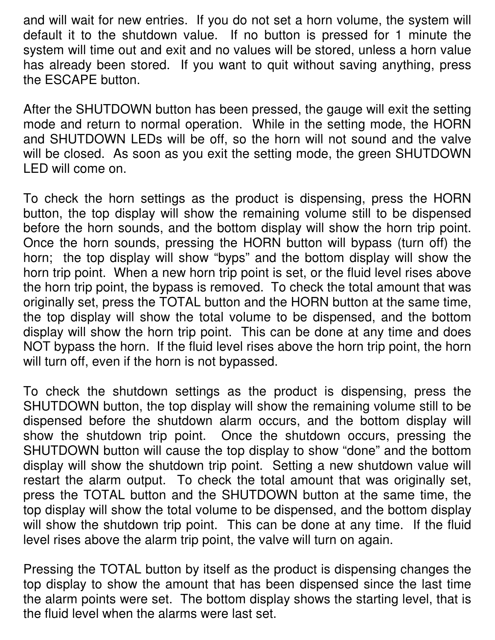and will wait for new entries. If you do not set a horn volume, the system will default it to the shutdown value. If no button is pressed for 1 minute the system will time out and exit and no values will be stored, unless a horn value has already been stored. If you want to quit without saving anything, press the ESCAPE button.

After the SHUTDOWN button has been pressed, the gauge will exit the setting mode and return to normal operation. While in the setting mode, the HORN and SHUTDOWN LEDs will be off, so the horn will not sound and the valve will be closed. As soon as you exit the setting mode, the green SHUTDOWN LED will come on.

To check the horn settings as the product is dispensing, press the HORN button, the top display will show the remaining volume still to be dispensed before the horn sounds, and the bottom display will show the horn trip point. Once the horn sounds, pressing the HORN button will bypass (turn off) the horn; the top display will show "byps" and the bottom display will show the horn trip point. When a new horn trip point is set, or the fluid level rises above the horn trip point, the bypass is removed. To check the total amount that was originally set, press the TOTAL button and the HORN button at the same time, the top display will show the total volume to be dispensed, and the bottom display will show the horn trip point. This can be done at any time and does NOT bypass the horn. If the fluid level rises above the horn trip point, the horn will turn off, even if the horn is not bypassed.

To check the shutdown settings as the product is dispensing, press the SHUTDOWN button, the top display will show the remaining volume still to be dispensed before the shutdown alarm occurs, and the bottom display will show the shutdown trip point. Once the shutdown occurs, pressing the SHUTDOWN button will cause the top display to show "done" and the bottom display will show the shutdown trip point. Setting a new shutdown value will restart the alarm output. To check the total amount that was originally set, press the TOTAL button and the SHUTDOWN button at the same time, the top display will show the total volume to be dispensed, and the bottom display will show the shutdown trip point. This can be done at any time. If the fluid level rises above the alarm trip point, the valve will turn on again.

Pressing the TOTAL button by itself as the product is dispensing changes the top display to show the amount that has been dispensed since the last time the alarm points were set. The bottom display shows the starting level, that is the fluid level when the alarms were last set.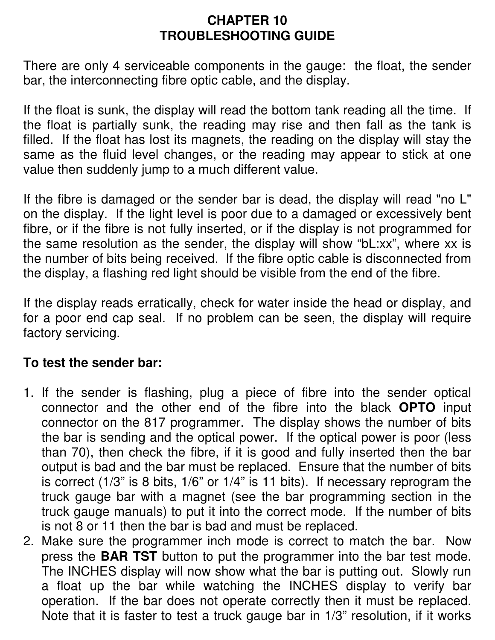#### **CHAPTER 10 TROUBLESHOOTING GUIDE**

There are only 4 serviceable components in the gauge: the float, the sender bar, the interconnecting fibre optic cable, and the display.

If the float is sunk, the display will read the bottom tank reading all the time. If the float is partially sunk, the reading may rise and then fall as the tank is filled. If the float has lost its magnets, the reading on the display will stay the same as the fluid level changes, or the reading may appear to stick at one value then suddenly jump to a much different value.

If the fibre is damaged or the sender bar is dead, the display will read "no L" on the display. If the light level is poor due to a damaged or excessively bent fibre, or if the fibre is not fully inserted, or if the display is not programmed for the same resolution as the sender, the display will show "bL:xx", where xx is the number of bits being received. If the fibre optic cable is disconnected from the display, a flashing red light should be visible from the end of the fibre.

If the display reads erratically, check for water inside the head or display, and for a poor end cap seal. If no problem can be seen, the display will require factory servicing.

#### **To test the sender bar:**

- 1. If the sender is flashing, plug a piece of fibre into the sender optical connector and the other end of the fibre into the black **OPTO** input connector on the 817 programmer. The display shows the number of bits the bar is sending and the optical power. If the optical power is poor (less than 70), then check the fibre, if it is good and fully inserted then the bar output is bad and the bar must be replaced. Ensure that the number of bits is correct (1/3" is 8 bits, 1/6" or 1/4" is 11 bits). If necessary reprogram the truck gauge bar with a magnet (see the bar programming section in the truck gauge manuals) to put it into the correct mode. If the number of bits is not 8 or 11 then the bar is bad and must be replaced.
- 2. Make sure the programmer inch mode is correct to match the bar. Now press the **BAR TST** button to put the programmer into the bar test mode. The INCHES display will now show what the bar is putting out. Slowly run a float up the bar while watching the INCHES display to verify bar operation. If the bar does not operate correctly then it must be replaced. Note that it is faster to test a truck gauge bar in 1/3" resolution, if it works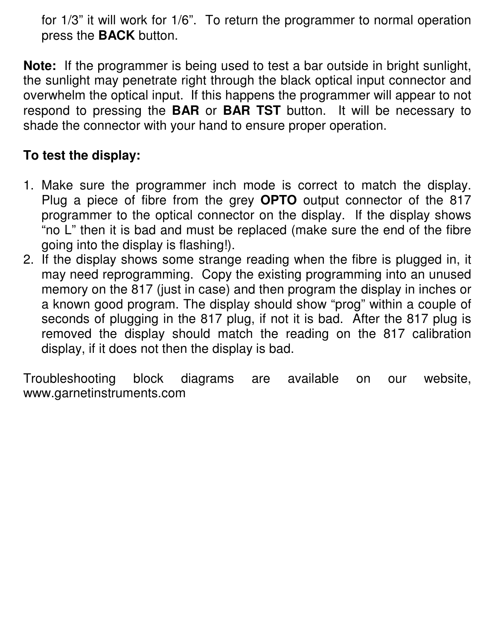for 1/3" it will work for 1/6". To return the programmer to normal operation press the **BACK** button.

**Note:** If the programmer is being used to test a bar outside in bright sunlight, the sunlight may penetrate right through the black optical input connector and overwhelm the optical input. If this happens the programmer will appear to not respond to pressing the **BAR** or **BAR TST** button. It will be necessary to shade the connector with your hand to ensure proper operation.

#### **To test the display:**

- 1. Make sure the programmer inch mode is correct to match the display. Plug a piece of fibre from the grey **OPTO** output connector of the 817 programmer to the optical connector on the display. If the display shows "no L" then it is bad and must be replaced (make sure the end of the fibre going into the display is flashing!).
- 2. If the display shows some strange reading when the fibre is plugged in, it may need reprogramming. Copy the existing programming into an unused memory on the 817 (just in case) and then program the display in inches or a known good program. The display should show "prog" within a couple of seconds of plugging in the 817 plug, if not it is bad. After the 817 plug is removed the display should match the reading on the 817 calibration display, if it does not then the display is bad.

Troubleshooting block diagrams are available on our website, www.garnetinstruments.com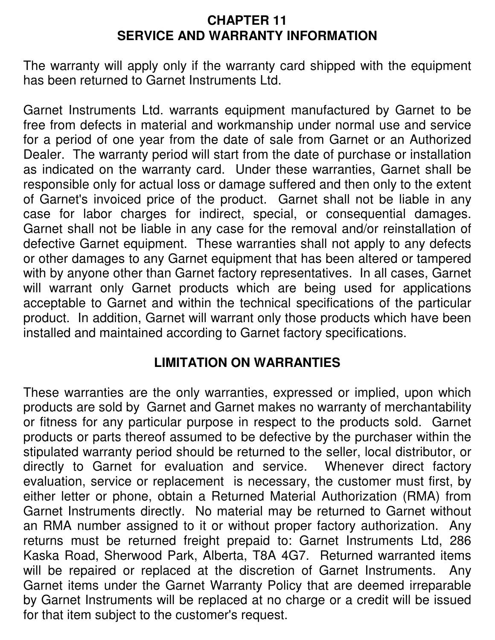#### **CHAPTER 11 SERVICE AND WARRANTY INFORMATION**

The warranty will apply only if the warranty card shipped with the equipment has been returned to Garnet Instruments Ltd.

Garnet Instruments Ltd. warrants equipment manufactured by Garnet to be free from defects in material and workmanship under normal use and service for a period of one year from the date of sale from Garnet or an Authorized Dealer. The warranty period will start from the date of purchase or installation as indicated on the warranty card. Under these warranties, Garnet shall be responsible only for actual loss or damage suffered and then only to the extent of Garnet's invoiced price of the product. Garnet shall not be liable in any case for labor charges for indirect, special, or consequential damages. Garnet shall not be liable in any case for the removal and/or reinstallation of defective Garnet equipment. These warranties shall not apply to any defects or other damages to any Garnet equipment that has been altered or tampered with by anyone other than Garnet factory representatives. In all cases, Garnet will warrant only Garnet products which are being used for applications acceptable to Garnet and within the technical specifications of the particular product. In addition, Garnet will warrant only those products which have been installed and maintained according to Garnet factory specifications.

#### **LIMITATION ON WARRANTIES**

These warranties are the only warranties, expressed or implied, upon which products are sold by Garnet and Garnet makes no warranty of merchantability or fitness for any particular purpose in respect to the products sold. Garnet products or parts thereof assumed to be defective by the purchaser within the stipulated warranty period should be returned to the seller, local distributor, or directly to Garnet for evaluation and service. Whenever direct factory evaluation, service or replacement is necessary, the customer must first, by either letter or phone, obtain a Returned Material Authorization (RMA) from Garnet Instruments directly. No material may be returned to Garnet without an RMA number assigned to it or without proper factory authorization. Any returns must be returned freight prepaid to: Garnet Instruments Ltd, 286 Kaska Road, Sherwood Park, Alberta, T8A 4G7. Returned warranted items will be repaired or replaced at the discretion of Garnet Instruments. Any Garnet items under the Garnet Warranty Policy that are deemed irreparable by Garnet Instruments will be replaced at no charge or a credit will be issued for that item subject to the customer's request.